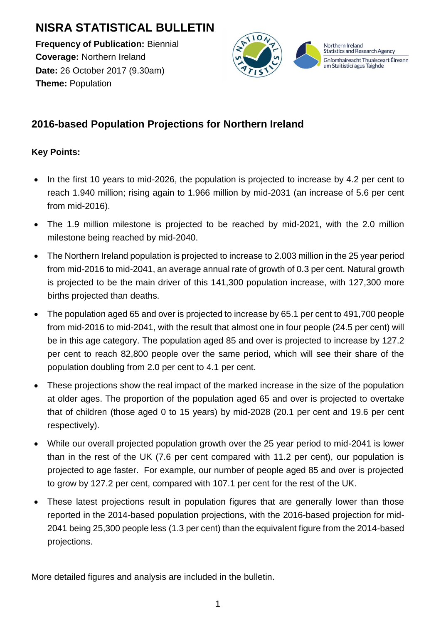# **NISRA STATISTICAL BULLETIN**

**Frequency of Publication:** Biennial **Coverage:** Northern Ireland **Date:** 26 October 2017 (9.30am) **Theme:** Population



# **2016-based Population Projections for Northern Ireland**

### **Key Points:**

- In the first 10 years to mid-2026, the population is projected to increase by 4.2 per cent to reach 1.940 million; rising again to 1.966 million by mid-2031 (an increase of 5.6 per cent from mid-2016).
- The 1.9 million milestone is projected to be reached by mid-2021, with the 2.0 million milestone being reached by mid-2040.
- The Northern Ireland population is projected to increase to 2.003 million in the 25 year period from mid-2016 to mid-2041, an average annual rate of growth of 0.3 per cent. Natural growth is projected to be the main driver of this 141,300 population increase, with 127,300 more births projected than deaths.
- The population aged 65 and over is projected to increase by 65.1 per cent to 491,700 people from mid-2016 to mid-2041, with the result that almost one in four people (24.5 per cent) will be in this age category. The population aged 85 and over is projected to increase by 127.2 per cent to reach 82,800 people over the same period, which will see their share of the population doubling from 2.0 per cent to 4.1 per cent.
- These projections show the real impact of the marked increase in the size of the population at older ages. The proportion of the population aged 65 and over is projected to overtake that of children (those aged 0 to 15 years) by mid-2028 (20.1 per cent and 19.6 per cent respectively).
- While our overall projected population growth over the 25 year period to mid-2041 is lower than in the rest of the UK (7.6 per cent compared with 11.2 per cent), our population is projected to age faster. For example, our number of people aged 85 and over is projected to grow by 127.2 per cent, compared with 107.1 per cent for the rest of the UK.
- These latest projections result in population figures that are generally lower than those reported in the 2014-based population projections, with the 2016-based projection for mid-2041 being 25,300 people less (1.3 per cent) than the equivalent figure from the 2014-based projections.

More detailed figures and analysis are included in the bulletin.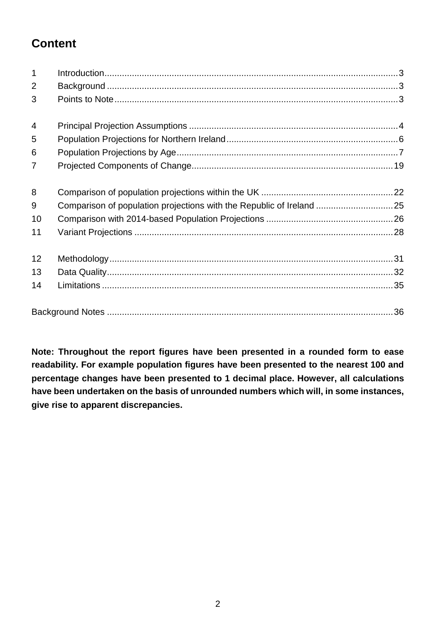# **Content**

| $\mathbf{1}$   |                                                                      |  |
|----------------|----------------------------------------------------------------------|--|
| $\overline{2}$ |                                                                      |  |
| 3              |                                                                      |  |
| $\overline{4}$ |                                                                      |  |
| 5              |                                                                      |  |
| 6              |                                                                      |  |
| $\overline{7}$ |                                                                      |  |
| 8              |                                                                      |  |
| 9              | Comparison of population projections with the Republic of Ireland 25 |  |
| 10             |                                                                      |  |
| 11             |                                                                      |  |
| 12             |                                                                      |  |
| 13             |                                                                      |  |
| 14             |                                                                      |  |
|                |                                                                      |  |

**Note: Throughout the report figures have been presented in a rounded form to ease readability. For example population figures have been presented to the nearest 100 and percentage changes have been presented to 1 decimal place. However, all calculations have been undertaken on the basis of unrounded numbers which will, in some instances, give rise to apparent discrepancies.**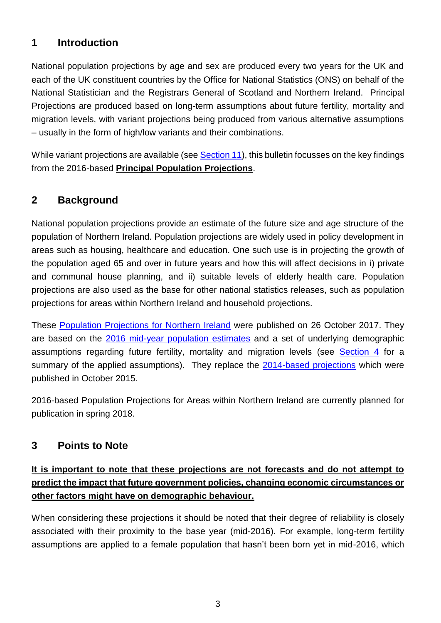## <span id="page-2-0"></span>**1 Introduction**

National population projections by age and sex are produced every two years for the UK and each of the UK constituent countries by the Office for National Statistics (ONS) on behalf of the National Statistician and the Registrars General of Scotland and Northern Ireland. Principal Projections are produced based on long-term assumptions about future fertility, mortality and migration levels, with variant projections being produced from various alternative assumptions – usually in the form of high/low variants and their combinations.

While variant projections are available (see **Section 11**), this bulletin focusses on the key findings from the 2016-based **Principal Population Projections**.

# <span id="page-2-1"></span>**2 Background**

National population projections provide an estimate of the future size and age structure of the population of Northern Ireland. Population projections are widely used in policy development in areas such as housing, healthcare and education. One such use is in projecting the growth of the population aged 65 and over in future years and how this will affect decisions in i) private and communal house planning, and ii) suitable levels of elderly health care. Population projections are also used as the base for other national statistics releases, such as population projections for areas within Northern Ireland and household projections.

These [Population Projections for Northern Ireland](https://www.nisra.gov.uk/publications/2016-based-population-projections-northern-ireland) were published on 26 October 2017. They are based on the [2016 mid-year population estimates](https://www.nisra.gov.uk/publications/2016-mid-year-population-estimates-northern-ireland) and a set of underlying demographic assumptions regarding future fertility, mortality and migration levels (see [Section 4](#page-3-0) for a summary of the applied assumptions). They replace the [2014-based projections](https://www.nisra.gov.uk/publications/2014-based-population-projections-northern-ireland) which were published in October 2015.

2016-based Population Projections for Areas within Northern Ireland are currently planned for publication in spring 2018.

### <span id="page-2-2"></span>**3 Points to Note**

## **It is important to note that these projections are not forecasts and do not attempt to predict the impact that future government policies, changing economic circumstances or other factors might have on demographic behaviour.**

When considering these projections it should be noted that their degree of reliability is closely associated with their proximity to the base year (mid-2016). For example, long-term fertility assumptions are applied to a female population that hasn't been born yet in mid-2016, which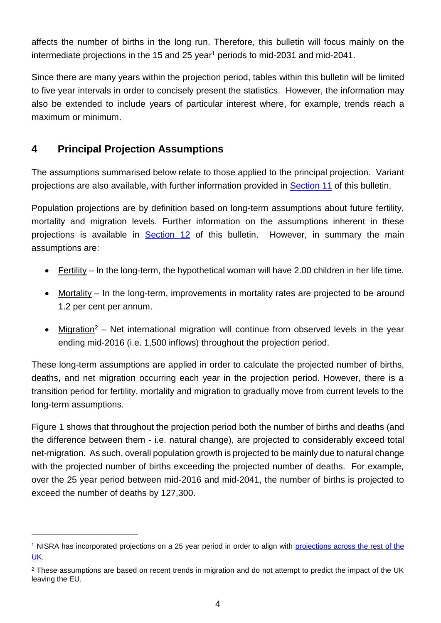affects the number of births in the long run. Therefore, this bulletin will focus mainly on the intermediate projections in the 15 and 25 year<sup>1</sup> periods to mid-2031 and mid-2041.

Since there are many years within the projection period, tables within this bulletin will be limited to five year intervals in order to concisely present the statistics. However, the information may also be extended to include years of particular interest where, for example, trends reach a maximum or minimum.

# <span id="page-3-0"></span>**4 Principal Projection Assumptions**

l

The assumptions summarised below relate to those applied to the principal projection. Variant projections are also available, with further information provided in [Section 11](#page-27-0) of this bulletin.

Population projections are by definition based on long-term assumptions about future fertility, mortality and migration levels. Further information on the assumptions inherent in these projections is available in [Section 12](#page-30-0) of this bulletin. However, in summary the main assumptions are:

- Fertility In the long-term, the hypothetical woman will have 2.00 children in her life time.
- Mortality In the long-term, improvements in mortality rates are projected to be around 1.2 per cent per annum.
- Migration<sup>2</sup> Net international migration will continue from observed levels in the year ending mid-2016 (i.e. 1,500 inflows) throughout the projection period.

These long-term assumptions are applied in order to calculate the projected number of births, deaths, and net migration occurring each year in the projection period. However, there is a transition period for fertility, mortality and migration to gradually move from current levels to the long-term assumptions.

Figure 1 shows that throughout the projection period both the number of births and deaths (and the difference between them - i.e. natural change), are projected to considerably exceed total net-migration. As such, overall population growth is projected to be mainly due to natural change with the projected number of births exceeding the projected number of deaths. For example, over the 25 year period between mid-2016 and mid-2041, the number of births is projected to exceed the number of deaths by 127,300.

<sup>1</sup> NISRA has incorporated projections on a 25 year period in order to align with [projections across the rest of the](https://www.ons.gov.uk/peoplepopulationandcommunity/populationandmigration/populationprojections)  [UK.](https://www.ons.gov.uk/peoplepopulationandcommunity/populationandmigration/populationprojections)

<sup>&</sup>lt;sup>2</sup> These assumptions are based on recent trends in migration and do not attempt to predict the impact of the UK leaving the EU.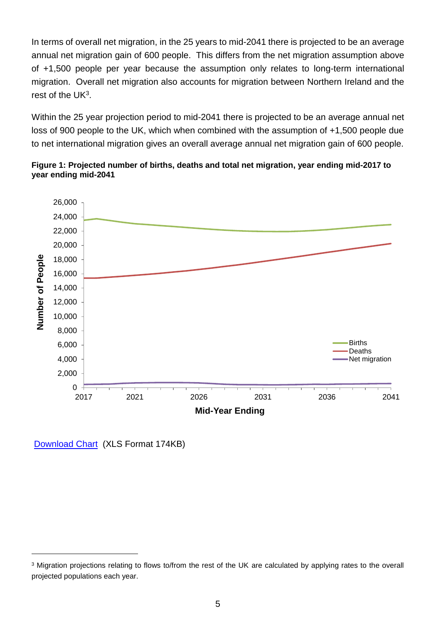In terms of overall net migration, in the 25 years to mid-2041 there is projected to be an average annual net migration gain of 600 people. This differs from the net migration assumption above of +1,500 people per year because the assumption only relates to long-term international migration. Overall net migration also accounts for migration between Northern Ireland and the rest of the UK $3$ .

Within the 25 year projection period to mid-2041 there is projected to be an average annual net loss of 900 people to the UK, which when combined with the assumption of +1,500 people due to net international migration gives an overall average annual net migration gain of 600 people.





[Download Chart](https://www.nisra.gov.uk/publications/2016-based-population-projections-northern-ireland-statistical-bulletin-charts) (XLS Format 174KB)

l

<sup>&</sup>lt;sup>3</sup> Migration projections relating to flows to/from the rest of the UK are calculated by applying rates to the overall projected populations each year.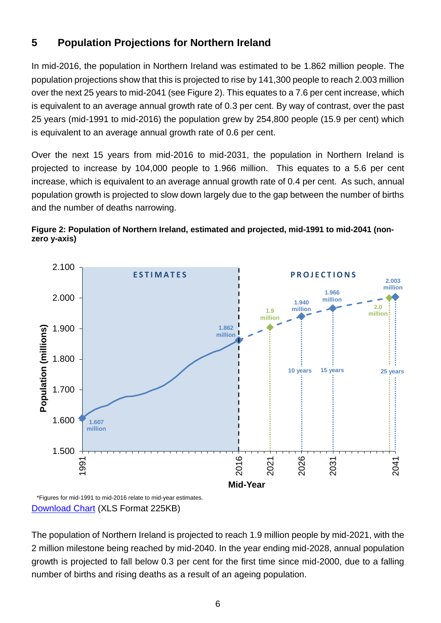# <span id="page-5-0"></span>**5 Population Projections for Northern Ireland**

In mid-2016, the population in Northern Ireland was estimated to be 1.862 million people. The population projections show that this is projected to rise by 141,300 people to reach 2.003 million over the next 25 years to mid-2041 (see Figure 2). This equates to a 7.6 per cent increase, which is equivalent to an average annual growth rate of 0.3 per cent. By way of contrast, over the past 25 years (mid-1991 to mid-2016) the population grew by 254,800 people (15.9 per cent) which is equivalent to an average annual growth rate of 0.6 per cent.

Over the next 15 years from mid-2016 to mid-2031, the population in Northern Ireland is projected to increase by 104,000 people to 1.966 million. This equates to a 5.6 per cent increase, which is equivalent to an average annual growth rate of 0.4 per cent. As such, annual population growth is projected to slow down largely due to the gap between the number of births and the number of deaths narrowing.

#### **Figure 2: Population of Northern Ireland, estimated and projected, mid-1991 to mid-2041 (nonzero y-axis)**



#### [Download Chart](https://www.nisra.gov.uk/publications/2016-based-population-projections-northern-ireland-statistical-bulletin-charts) (XLS Format 225KB)

The population of Northern Ireland is projected to reach 1.9 million people by mid-2021, with the 2 million milestone being reached by mid-2040. In the year ending mid-2028, annual population growth is projected to fall below 0.3 per cent for the first time since mid-2000, due to a falling number of births and rising deaths as a result of an ageing population.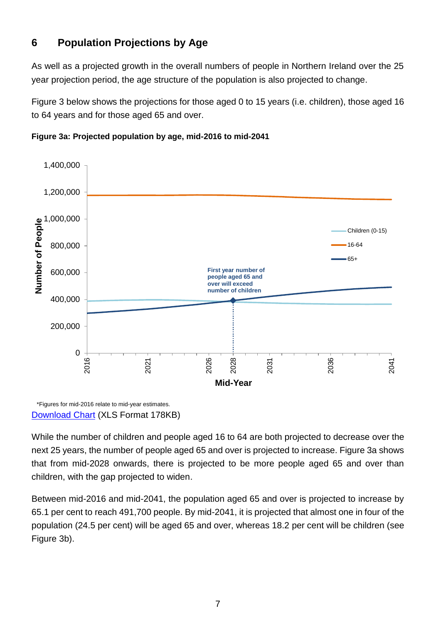# <span id="page-6-0"></span>**6 Population Projections by Age**

As well as a projected growth in the overall numbers of people in Northern Ireland over the 25 year projection period, the age structure of the population is also projected to change.

Figure 3 below shows the projections for those aged 0 to 15 years (i.e. children), those aged 16 to 64 years and for those aged 65 and over.





\*Figures for mid-2016 relate to mid-year estimates. [Download Chart](https://www.nisra.gov.uk/publications/2016-based-population-projections-northern-ireland-statistical-bulletin-charts) (XLS Format 178KB)

While the number of children and people aged 16 to 64 are both projected to decrease over the next 25 years, the number of people aged 65 and over is projected to increase. Figure 3a shows that from mid-2028 onwards, there is projected to be more people aged 65 and over than children, with the gap projected to widen.

Between mid-2016 and mid-2041, the population aged 65 and over is projected to increase by 65.1 per cent to reach 491,700 people. By mid-2041, it is projected that almost one in four of the population (24.5 per cent) will be aged 65 and over, whereas 18.2 per cent will be children (see Figure 3b).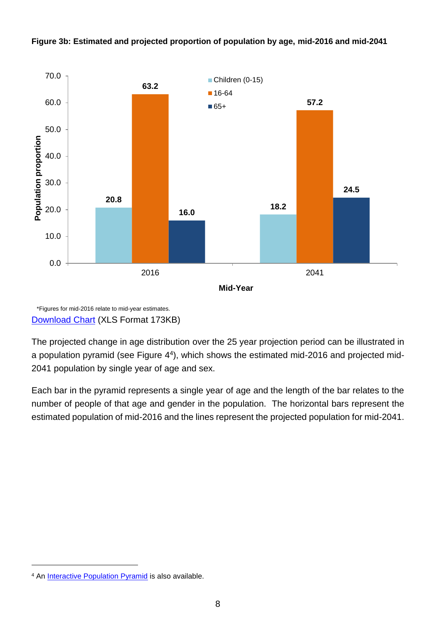



\*Figures for mid-2016 relate to mid-year estimates. [Download Chart](https://www.nisra.gov.uk/publications/2016-based-population-projections-northern-ireland-statistical-bulletin-charts) (XLS Format 173KB)

The projected change in age distribution over the 25 year projection period can be illustrated in a population pyramid (see Figure 4<sup>4</sup>), which shows the estimated mid-2016 and projected mid-2041 population by single year of age and sex.

Each bar in the pyramid represents a single year of age and the length of the bar relates to the number of people of that age and gender in the population. The horizontal bars represent the estimated population of mid-2016 and the lines represent the projected population for mid-2041.

l

<sup>&</sup>lt;sup>4</sup> An **[Interactive Population Pyramid](http://www.ninis2.nisra.gov.uk/InteractiveMaps/Population/Population%20Pyramids/Projections_1986-2066/Pop_Pyramid_October2017.html)** is also available.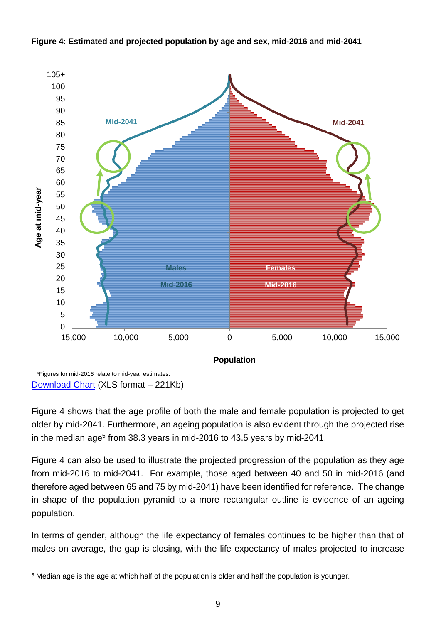

**Figure 4: Estimated and projected population by age and sex, mid-2016 and mid-2041**

[Download Chart](https://www.nisra.gov.uk/publications/2016-based-population-projections-northern-ireland-statistical-bulletin-charts) (XLS format – 221Kb)

l

Figure 4 shows that the age profile of both the male and female population is projected to get older by mid-2041. Furthermore, an ageing population is also evident through the projected rise in the median age<sup>5</sup> from 38.3 years in mid-2016 to 43.5 years by mid-2041.

Figure 4 can also be used to illustrate the projected progression of the population as they age from mid-2016 to mid-2041. For example, those aged between 40 and 50 in mid-2016 (and therefore aged between 65 and 75 by mid-2041) have been identified for reference. The change in shape of the population pyramid to a more rectangular outline is evidence of an ageing population.

In terms of gender, although the life expectancy of females continues to be higher than that of males on average, the gap is closing, with the life expectancy of males projected to increase

<sup>5</sup> Median age is the age at which half of the population is older and half the population is younger.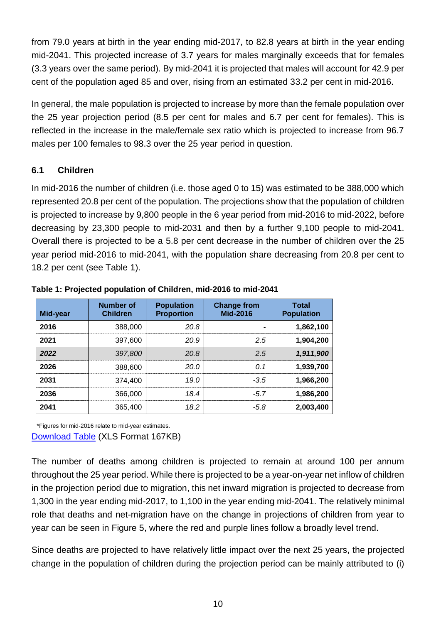from 79.0 years at birth in the year ending mid-2017, to 82.8 years at birth in the year ending mid-2041. This projected increase of 3.7 years for males marginally exceeds that for females (3.3 years over the same period). By mid-2041 it is projected that males will account for 42.9 per cent of the population aged 85 and over, rising from an estimated 33.2 per cent in mid-2016.

In general, the male population is projected to increase by more than the female population over the 25 year projection period (8.5 per cent for males and 6.7 per cent for females). This is reflected in the increase in the male/female sex ratio which is projected to increase from 96.7 males per 100 females to 98.3 over the 25 year period in question.

#### **6.1 Children**

In mid-2016 the number of children (i.e. those aged 0 to 15) was estimated to be 388,000 which represented 20.8 per cent of the population. The projections show that the population of children is projected to increase by 9,800 people in the 6 year period from mid-2016 to mid-2022, before decreasing by 23,300 people to mid-2031 and then by a further 9,100 people to mid-2041. Overall there is projected to be a 5.8 per cent decrease in the number of children over the 25 year period mid-2016 to mid-2041, with the population share decreasing from 20.8 per cent to 18.2 per cent (see Table 1).

| Mid-year | Number of<br><b>Children</b> | <b>Population</b><br><b>Proportion</b> | <b>Change from</b><br>Mid-2016 | <b>Total</b><br><b>Population</b> |
|----------|------------------------------|----------------------------------------|--------------------------------|-----------------------------------|
| 2016     | 388,000                      | 20.8                                   |                                | 1,862,100                         |
| 2021     | 397,600                      | 20.9                                   | 25                             | 1,904,200                         |
| 2022     | 397,800                      | 20.8                                   | 2.5                            | 1,911,900                         |
| 2026     | 388,600                      | 20.0                                   | O 1                            | 1,939,700                         |
| 2031     | 374,400                      | 19 N                                   | $-3.5$                         | 1,966,200                         |
| 2036     | 366,000                      | 18.4                                   | -57                            | 1,986,200                         |
| 2041     | 365,400                      | 18.2                                   | -5.8                           | 2,003,400                         |

**Table 1: Projected population of Children, mid-2016 to mid-2041**

\*Figures for mid-2016 relate to mid-year estimates. **[Download Table](https://www.nisra.gov.uk/publications/2016-based-population-projections-northern-ireland-statistical-bulletin-charts) (XLS Format 167KB)** 

The number of deaths among children is projected to remain at around 100 per annum throughout the 25 year period. While there is projected to be a year-on-year net inflow of children in the projection period due to migration, this net inward migration is projected to decrease from 1,300 in the year ending mid-2017, to 1,100 in the year ending mid-2041. The relatively minimal role that deaths and net-migration have on the change in projections of children from year to year can be seen in Figure 5, where the red and purple lines follow a broadly level trend.

Since deaths are projected to have relatively little impact over the next 25 years, the projected change in the population of children during the projection period can be mainly attributed to (i)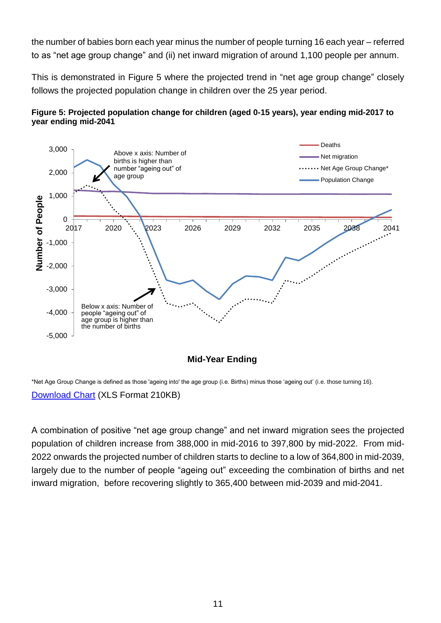the number of babies born each year minus the number of people turning 16 each year – referred to as "net age group change" and (ii) net inward migration of around 1,100 people per annum.

This is demonstrated in Figure 5 where the projected trend in "net age group change" closely follows the projected population change in children over the 25 year period.





\*Net Age Group Change is defined as those 'ageing into' the age group (i.e. Births) minus those 'ageing out' (i.e. those turning 16). [Download Chart](https://www.nisra.gov.uk/publications/2016-based-population-projections-northern-ireland-statistical-bulletin-charts) (XLS Format 210KB)

A combination of positive "net age group change" and net inward migration sees the projected population of children increase from 388,000 in mid-2016 to 397,800 by mid-2022. From mid-2022 onwards the projected number of children starts to decline to a low of 364,800 in mid-2039, largely due to the number of people "ageing out" exceeding the combination of births and net inward migration, before recovering slightly to 365,400 between mid-2039 and mid-2041.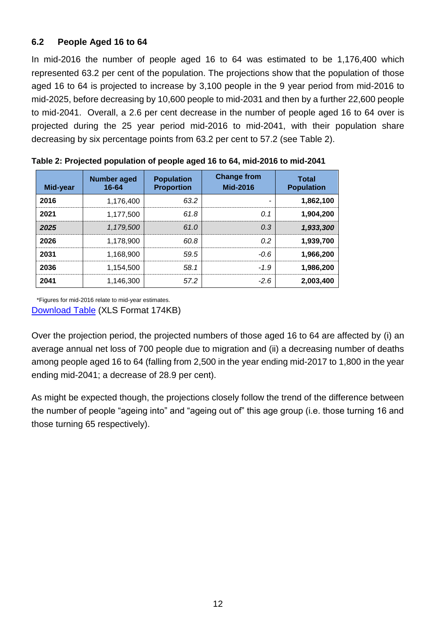### **6.2 People Aged 16 to 64**

In mid-2016 the number of people aged 16 to 64 was estimated to be 1,176,400 which represented 63.2 per cent of the population. The projections show that the population of those aged 16 to 64 is projected to increase by 3,100 people in the 9 year period from mid-2016 to mid-2025, before decreasing by 10,600 people to mid-2031 and then by a further 22,600 people to mid-2041. Overall, a 2.6 per cent decrease in the number of people aged 16 to 64 over is projected during the 25 year period mid-2016 to mid-2041, with their population share decreasing by six percentage points from 63.2 per cent to 57.2 (see Table 2).

| Mid-year | <b>Number aged</b><br>16-64 | <b>Population</b><br><b>Proportion</b> | <b>Change from</b><br>Mid-2016 | <b>Total</b><br><b>Population</b> |
|----------|-----------------------------|----------------------------------------|--------------------------------|-----------------------------------|
| 2016     | 1.176.400                   | 63.2                                   |                                | 1,862,100                         |
| 2021     | 1.177.500                   | 61.8                                   | 0.1                            | 1,904,200                         |
| 2025     | 1.179.500                   | 61.0                                   | 0.3                            | 1,933,300                         |
| 2026     | 1,178,900                   | 60 B                                   | 02                             | 1,939,700                         |
| 2031     | 1.168.900                   | 59.5                                   | -0.6                           | 1,966,200                         |
| 2036     | 1.154.500                   | 58.1                                   | -19                            | 1.986.200                         |
| 2041     | 1.146.300                   | 57.2                                   | $-2.6$                         | 2,003,400                         |

**Table 2: Projected population of people aged 16 to 64, mid-2016 to mid-2041**

\*Figures for mid-2016 relate to mid-year estimates. [Download Table](https://www.nisra.gov.uk/publications/2016-based-population-projections-northern-ireland-statistical-bulletin-charts) (XLS Format 174KB)

Over the projection period, the projected numbers of those aged 16 to 64 are affected by (i) an average annual net loss of 700 people due to migration and (ii) a decreasing number of deaths among people aged 16 to 64 (falling from 2,500 in the year ending mid-2017 to 1,800 in the year ending mid-2041; a decrease of 28.9 per cent).

As might be expected though, the projections closely follow the trend of the difference between the number of people "ageing into" and "ageing out of" this age group (i.e. those turning 16 and those turning 65 respectively).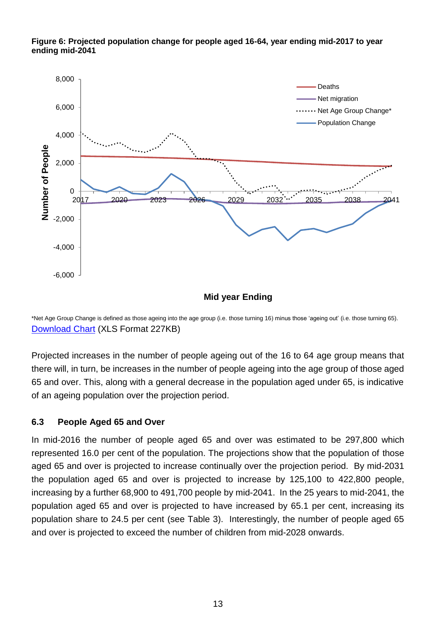

#### **Figure 6: Projected population change for people aged 16-64, year ending mid-2017 to year ending mid-2041**

**Mid year Ending**

\*Net Age Group Change is defined as those ageing into the age group (i.e. those turning 16) minus those 'ageing out' (i.e. those turning 65). [Download Chart](https://www.nisra.gov.uk/publications/2016-based-population-projections-northern-ireland-statistical-bulletin-charts) (XLS Format 227KB)

Projected increases in the number of people ageing out of the 16 to 64 age group means that there will, in turn, be increases in the number of people ageing into the age group of those aged 65 and over. This, along with a general decrease in the population aged under 65, is indicative of an ageing population over the projection period.

#### **6.3 People Aged 65 and Over**

In mid-2016 the number of people aged 65 and over was estimated to be 297,800 which represented 16.0 per cent of the population. The projections show that the population of those aged 65 and over is projected to increase continually over the projection period. By mid-2031 the population aged 65 and over is projected to increase by 125,100 to 422,800 people, increasing by a further 68,900 to 491,700 people by mid-2041. In the 25 years to mid-2041, the population aged 65 and over is projected to have increased by 65.1 per cent, increasing its population share to 24.5 per cent (see Table 3). Interestingly, the number of people aged 65 and over is projected to exceed the number of children from mid-2028 onwards.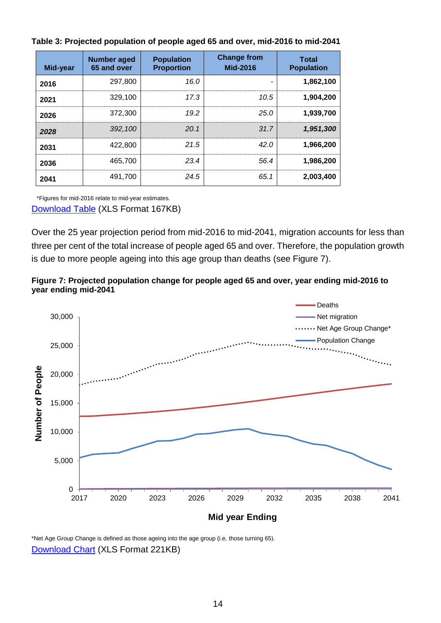| Mid-year | <b>Number aged</b><br>65 and over | <b>Population</b><br><b>Proportion</b> | <b>Change from</b><br>Mid-2016 | <b>Total</b><br><b>Population</b> |
|----------|-----------------------------------|----------------------------------------|--------------------------------|-----------------------------------|
| 2016     | 297,800                           | 16.0                                   | -                              | 1,862,100                         |
| 2021     | 329.100                           | 17.3                                   | 10.5                           | 1,904,200                         |
| 2026     | 372.300                           | 19.2                                   | 25.0                           | 1,939,700                         |
| 2028     | 392.100                           | 20.1                                   | .317                           | 1,951,300                         |
| 2031     | 422,800                           | 21.5                                   | 42.0                           | 1.966.200                         |
| 2036     | 465.700                           | 234                                    | 56.4                           | 1,986,200                         |
| 2041     | 491,700                           | 24.5                                   | 65.1                           | 2,003,400                         |

**Table 3: Projected population of people aged 65 and over, mid-2016 to mid-2041**

\*Figures for mid-2016 relate to mid-year estimates. [Download Table](https://www.nisra.gov.uk/publications/2016-based-population-projections-northern-ireland-statistical-bulletin-charts) (XLS Format 167KB)

Over the 25 year projection period from mid-2016 to mid-2041, migration accounts for less than three per cent of the total increase of people aged 65 and over. Therefore, the population growth is due to more people ageing into this age group than deaths (see Figure 7).





\*Net Age Group Change is defined as those ageing into the age group (i.e. those turning 65). [Download Chart](https://www.nisra.gov.uk/publications/2016-based-population-projections-northern-ireland-statistical-bulletin-charts) (XLS Format 221KB)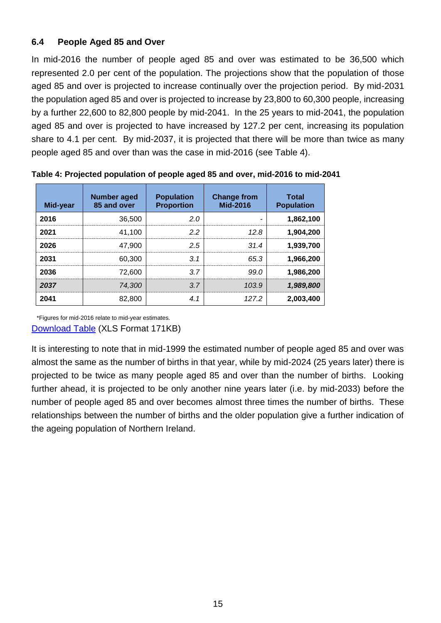### **6.4 People Aged 85 and Over**

In mid-2016 the number of people aged 85 and over was estimated to be 36,500 which represented 2.0 per cent of the population. The projections show that the population of those aged 85 and over is projected to increase continually over the projection period. By mid-2031 the population aged 85 and over is projected to increase by 23,800 to 60,300 people, increasing by a further 22,600 to 82,800 people by mid-2041. In the 25 years to mid-2041, the population aged 85 and over is projected to have increased by 127.2 per cent, increasing its population share to 4.1 per cent. By mid-2037, it is projected that there will be more than twice as many people aged 85 and over than was the case in mid-2016 (see Table 4).

| Mid-year | <b>Number aged</b><br>85 and over | <b>Population</b><br><b>Proportion</b> | <b>Change from</b><br>Mid-2016 | <b>Total</b><br><b>Population</b> |
|----------|-----------------------------------|----------------------------------------|--------------------------------|-----------------------------------|
| 2016     | 36,500                            | 2.0                                    |                                | 1,862,100                         |
| 2021     | 41.100                            | 22                                     | 12.8                           | 1,904,200                         |
| 2026     | 47.900                            | 2.5                                    | .314                           | 1,939,700                         |
| 2031     | 60,300                            | 3.1                                    | 65.3                           | 1,966,200                         |
| 2036     | 72,600                            | 37                                     | 99.0                           | 1,986,200                         |
| 2037     | 74.300                            | 3 Z                                    | 103.9                          | 1,989,800                         |
| 2041     | 82,800                            | 4.1                                    | 127.2                          | 2,003,400                         |

**Table 4: Projected population of people aged 85 and over, mid-2016 to mid-2041**

\*Figures for mid-2016 relate to mid-year estimates. [Download Table](https://www.nisra.gov.uk/publications/2016-based-population-projections-northern-ireland-statistical-bulletin-charts) (XLS Format 171KB)

It is interesting to note that in mid-1999 the estimated number of people aged 85 and over was almost the same as the number of births in that year, while by mid-2024 (25 years later) there is projected to be twice as many people aged 85 and over than the number of births. Looking further ahead, it is projected to be only another nine years later (i.e. by mid-2033) before the number of people aged 85 and over becomes almost three times the number of births. These relationships between the number of births and the older population give a further indication of the ageing population of Northern Ireland.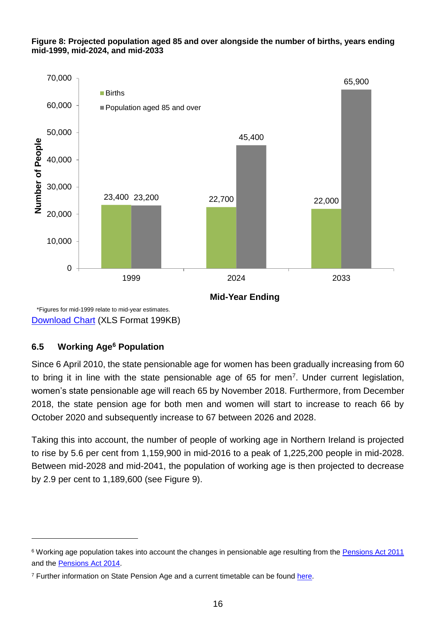#### **Figure 8: Projected population aged 85 and over alongside the number of births, years ending mid-1999, mid-2024, and mid-2033**



[Download Chart](https://www.nisra.gov.uk/publications/2016-based-population-projections-northern-ireland-statistical-bulletin-charts) (XLS Format 199KB)

### **6.5 Working Age<sup>6</sup> Population**

 $\overline{a}$ 

Since 6 April 2010, the state pensionable age for women has been gradually increasing from 60 to bring it in line with the state pensionable age of 65 for men<sup>7</sup>. Under current legislation, women's state pensionable age will reach 65 by November 2018. Furthermore, from December 2018, the state pension age for both men and women will start to increase to reach 66 by October 2020 and subsequently increase to 67 between 2026 and 2028.

Taking this into account, the number of people of working age in Northern Ireland is projected to rise by 5.6 per cent from 1,159,900 in mid-2016 to a peak of 1,225,200 people in mid-2028. Between mid-2028 and mid-2041, the population of working age is then projected to decrease by 2.9 per cent to 1,189,600 (see Figure 9).

<sup>&</sup>lt;sup>6</sup> Working age population takes into account the changes in pensionable age resulting from the [Pensions Act 2011](http://www.legislation.gov.uk/ukpga/2011/19/contents/enacted) and the [Pensions Act 2014.](http://www.legislation.gov.uk/ukpga/2014/19/contents/enacted)

<sup>&</sup>lt;sup>7</sup> Further information on State Pension Age and a current timetable can be found [here.](https://www.gov.uk/government/uploads/system/uploads/attachment_data/file/310231/spa-timetable.pdf)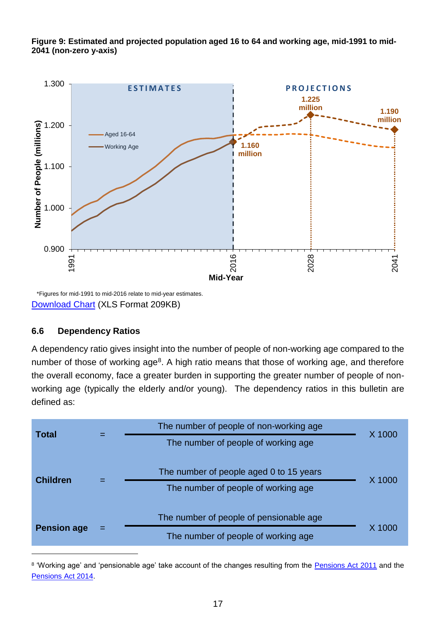**Figure 9: Estimated and projected population aged 16 to 64 and working age, mid-1991 to mid-2041 (non-zero y-axis)**



\*Figures for mid-1991 to mid-2016 relate to mid-year estimates. [Download Chart](https://www.nisra.gov.uk/publications/2016-based-population-projections-northern-ireland-statistical-bulletin-charts) (XLS Format 209KB)

#### **6.6 Dependency Ratios**

l

A dependency ratio gives insight into the number of people of non-working age compared to the number of those of working age<sup>8</sup>. A high ratio means that those of working age, and therefore the overall economy, face a greater burden in supporting the greater number of people of nonworking age (typically the elderly and/or young). The dependency ratios in this bulletin are defined as:

| <b>Total</b>       |  | The number of people of non-working age | X 1000 |
|--------------------|--|-----------------------------------------|--------|
|                    |  | The number of people of working age     |        |
| <b>Children</b>    |  | The number of people aged 0 to 15 years | X 1000 |
|                    |  | The number of people of working age     |        |
|                    |  | The number of people of pensionable age |        |
| <b>Pension age</b> |  | The number of people of working age     | X 1000 |

<sup>8</sup> 'Working age' and 'pensionable age' take account of the changes resulting from the **Pensions Act 2011** and the [Pensions Act 2014.](http://www.legislation.gov.uk/ukpga/2014/19/contents/enacted)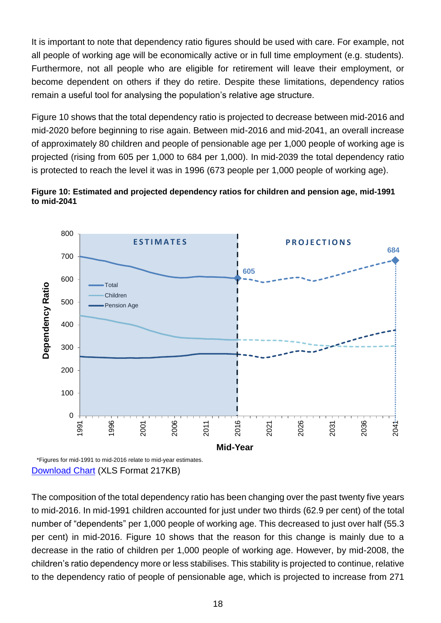It is important to note that dependency ratio figures should be used with care. For example, not all people of working age will be economically active or in full time employment (e.g. students). Furthermore, not all people who are eligible for retirement will leave their employment, or become dependent on others if they do retire. Despite these limitations, dependency ratios remain a useful tool for analysing the population's relative age structure.

Figure 10 shows that the total dependency ratio is projected to decrease between mid-2016 and mid-2020 before beginning to rise again. Between mid-2016 and mid-2041, an overall increase of approximately 80 children and people of pensionable age per 1,000 people of working age is projected (rising from 605 per 1,000 to 684 per 1,000). In mid-2039 the total dependency ratio is protected to reach the level it was in 1996 (673 people per 1,000 people of working age).





[Download Chart](https://www.nisra.gov.uk/publications/2016-based-population-projections-northern-ireland-statistical-bulletin-charts) (XLS Format 217KB)

The composition of the total dependency ratio has been changing over the past twenty five years to mid-2016. In mid-1991 children accounted for just under two thirds (62.9 per cent) of the total number of "dependents" per 1,000 people of working age. This decreased to just over half (55.3 per cent) in mid-2016. Figure 10 shows that the reason for this change is mainly due to a decrease in the ratio of children per 1,000 people of working age. However, by mid-2008, the children's ratio dependency more or less stabilises. This stability is projected to continue, relative to the dependency ratio of people of pensionable age, which is projected to increase from 271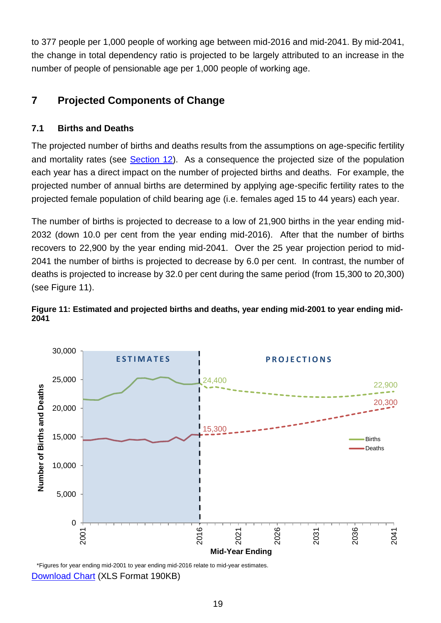to 377 people per 1,000 people of working age between mid-2016 and mid-2041. By mid-2041, the change in total dependency ratio is projected to be largely attributed to an increase in the number of people of pensionable age per 1,000 people of working age.

# <span id="page-18-0"></span>**7 Projected Components of Change**

### **7.1 Births and Deaths**

The projected number of births and deaths results from the assumptions on age-specific fertility and mortality rates (see [Section 12\)](#page-30-0). As a consequence the projected size of the population each year has a direct impact on the number of projected births and deaths. For example, the projected number of annual births are determined by applying age-specific fertility rates to the projected female population of child bearing age (i.e. females aged 15 to 44 years) each year.

The number of births is projected to decrease to a low of 21,900 births in the year ending mid-2032 (down 10.0 per cent from the year ending mid-2016). After that the number of births recovers to 22,900 by the year ending mid-2041. Over the 25 year projection period to mid-2041 the number of births is projected to decrease by 6.0 per cent. In contrast, the number of deaths is projected to increase by 32.0 per cent during the same period (from 15,300 to 20,300) (see Figure 11).

#### **Figure 11: Estimated and projected births and deaths, year ending mid-2001 to year ending mid-2041**



\*Figures for year ending mid-2001 to year ending mid-2016 relate to mid-year estimates. [Download Chart](https://www.nisra.gov.uk/publications/2016-based-population-projections-northern-ireland-statistical-bulletin-charts) (XLS Format 190KB)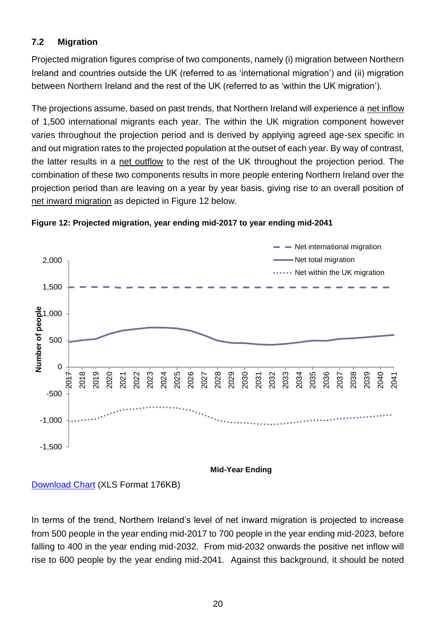### **7.2 Migration**

Projected migration figures comprise of two components, namely (i) migration between Northern Ireland and countries outside the UK (referred to as 'international migration') and (ii) migration between Northern Ireland and the rest of the UK (referred to as 'within the UK migration').

The projections assume, based on past trends, that Northern Ireland will experience a net inflow of 1,500 international migrants each year. The within the UK migration component however varies throughout the projection period and is derived by applying agreed age-sex specific in and out migration rates to the projected population at the outset of each year. By way of contrast, the latter results in a net outflow to the rest of the UK throughout the projection period. The combination of these two components results in more people entering Northern Ireland over the projection period than are leaving on a year by year basis, giving rise to an overall position of net inward migration as depicted in Figure 12 below.





[Download Chart](https://www.nisra.gov.uk/publications/2016-based-population-projections-northern-ireland-statistical-bulletin-charts) (XLS Format 176KB)

In terms of the trend, Northern Ireland's level of net inward migration is projected to increase from 500 people in the year ending mid-2017 to 700 people in the year ending mid-2023, before falling to 400 in the year ending mid-2032. From mid-2032 onwards the positive net inflow will rise to 600 people by the year ending mid-2041. Against this background, it should be noted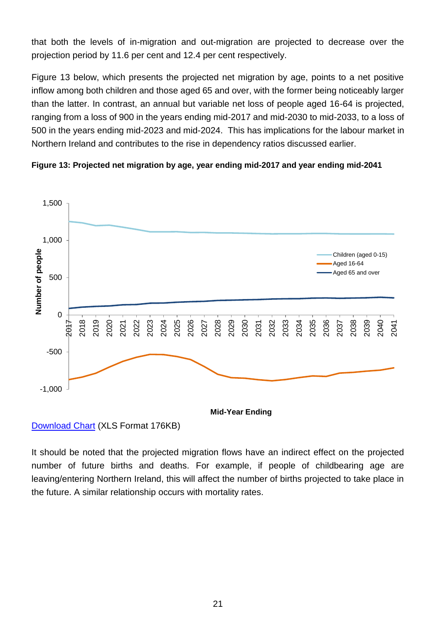that both the levels of in-migration and out-migration are projected to decrease over the projection period by 11.6 per cent and 12.4 per cent respectively.

Figure 13 below, which presents the projected net migration by age, points to a net positive inflow among both children and those aged 65 and over, with the former being noticeably larger than the latter. In contrast, an annual but variable net loss of people aged 16-64 is projected, ranging from a loss of 900 in the years ending mid-2017 and mid-2030 to mid-2033, to a loss of 500 in the years ending mid-2023 and mid-2024. This has implications for the labour market in Northern Ireland and contributes to the rise in dependency ratios discussed earlier.





[Download Chart](https://www.nisra.gov.uk/publications/2016-based-population-projections-northern-ireland-statistical-bulletin-charts) (XLS Format 176KB)

<span id="page-20-0"></span>It should be noted that the projected migration flows have an indirect effect on the projected number of future births and deaths. For example, if people of childbearing age are leaving/entering Northern Ireland, this will affect the number of births projected to take place in the future. A similar relationship occurs with mortality rates.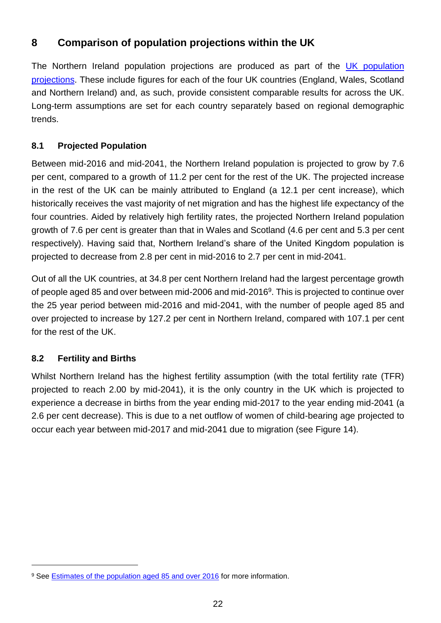# **8 Comparison of population projections within the UK**

The Northern Ireland population projections are produced as part of the UK population [projections.](https://www.ons.gov.uk/peoplepopulationandcommunity/populationandmigration/populationprojections) These include figures for each of the four UK countries (England, Wales, Scotland and Northern Ireland) and, as such, provide consistent comparable results for across the UK. Long-term assumptions are set for each country separately based on regional demographic trends.

### **8.1 Projected Population**

Between mid-2016 and mid-2041, the Northern Ireland population is projected to grow by 7.6 per cent, compared to a growth of 11.2 per cent for the rest of the UK. The projected increase in the rest of the UK can be mainly attributed to England (a 12.1 per cent increase), which historically receives the vast majority of net migration and has the highest life expectancy of the four countries. Aided by relatively high fertility rates, the projected Northern Ireland population growth of 7.6 per cent is greater than that in Wales and Scotland (4.6 per cent and 5.3 per cent respectively). Having said that, Northern Ireland's share of the United Kingdom population is projected to decrease from 2.8 per cent in mid-2016 to 2.7 per cent in mid-2041.

Out of all the UK countries, at 34.8 per cent Northern Ireland had the largest percentage growth of people aged 85 and over between mid-2006 and mid-2016<sup>9</sup>. This is projected to continue over the 25 year period between mid-2016 and mid-2041, with the number of people aged 85 and over projected to increase by 127.2 per cent in Northern Ireland, compared with 107.1 per cent for the rest of the UK.

### **8.2 Fertility and Births**

l

Whilst Northern Ireland has the highest fertility assumption (with the total fertility rate (TFR) projected to reach 2.00 by mid-2041), it is the only country in the UK which is projected to experience a decrease in births from the year ending mid-2017 to the year ending mid-2041 (a 2.6 per cent decrease). This is due to a net outflow of women of child-bearing age projected to occur each year between mid-2017 and mid-2041 due to migration (see Figure 14).

<sup>&</sup>lt;sup>9</sup> See **Estimates of the population aged 85 and over 2016** for more information.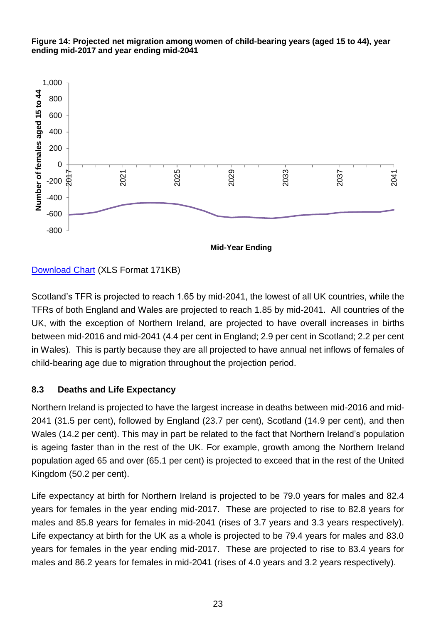

#### **Figure 14: Projected net migration among women of child-bearing years (aged 15 to 44), year ending mid-2017 and year ending mid-2041**

[Download Chart](https://www.nisra.gov.uk/publications/2016-based-population-projections-northern-ireland-statistical-bulletin-charts) (XLS Format 171KB)

Scotland's TFR is projected to reach 1.65 by mid-2041, the lowest of all UK countries, while the TFRs of both England and Wales are projected to reach 1.85 by mid-2041. All countries of the UK, with the exception of Northern Ireland, are projected to have overall increases in births between mid-2016 and mid-2041 (4.4 per cent in England; 2.9 per cent in Scotland; 2.2 per cent in Wales). This is partly because they are all projected to have annual net inflows of females of child-bearing age due to migration throughout the projection period.

### **8.3 Deaths and Life Expectancy**

Northern Ireland is projected to have the largest increase in deaths between mid-2016 and mid-2041 (31.5 per cent), followed by England (23.7 per cent), Scotland (14.9 per cent), and then Wales (14.2 per cent). This may in part be related to the fact that Northern Ireland's population is ageing faster than in the rest of the UK. For example, growth among the Northern Ireland population aged 65 and over (65.1 per cent) is projected to exceed that in the rest of the United Kingdom (50.2 per cent).

Life expectancy at birth for Northern Ireland is projected to be 79.0 years for males and 82.4 years for females in the year ending mid-2017. These are projected to rise to 82.8 years for males and 85.8 years for females in mid-2041 (rises of 3.7 years and 3.3 years respectively). Life expectancy at birth for the UK as a whole is projected to be 79.4 years for males and 83.0 years for females in the year ending mid-2017. These are projected to rise to 83.4 years for males and 86.2 years for females in mid-2041 (rises of 4.0 years and 3.2 years respectively).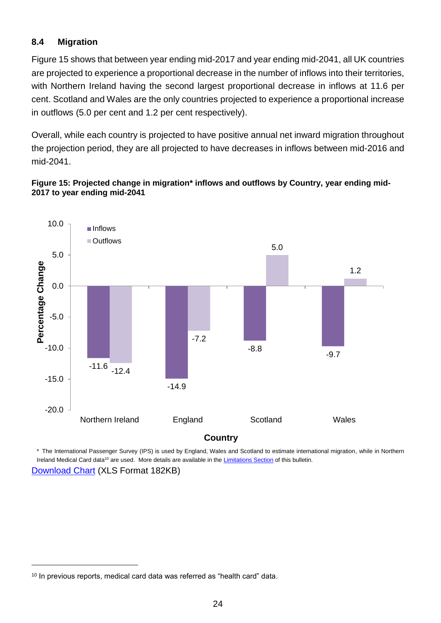### **8.4 Migration**

Figure 15 shows that between year ending mid-2017 and year ending mid-2041, all UK countries are projected to experience a proportional decrease in the number of inflows into their territories, with Northern Ireland having the second largest proportional decrease in inflows at 11.6 per cent. Scotland and Wales are the only countries projected to experience a proportional increase in outflows (5.0 per cent and 1.2 per cent respectively).

Overall, while each country is projected to have positive annual net inward migration throughout the projection period, they are all projected to have decreases in inflows between mid-2016 and mid-2041.

#### **Figure 15: Projected change in migration\* inflows and outflows by Country, year ending mid-2017 to year ending mid-2041**



\* The International Passenger Survey (IPS) is used by England, Wales and Scotland to estimate international migration, while in Northern Ireland Medical Card data<sup>10</sup> are used. More details are available in the *Limitations Section* of this bulletin. [Download Chart](https://www.nisra.gov.uk/publications/2016-based-population-projections-northern-ireland-statistical-bulletin-charts) (XLS Format 182KB)

l

<sup>&</sup>lt;sup>10</sup> In previous reports, medical card data was referred as "health card" data.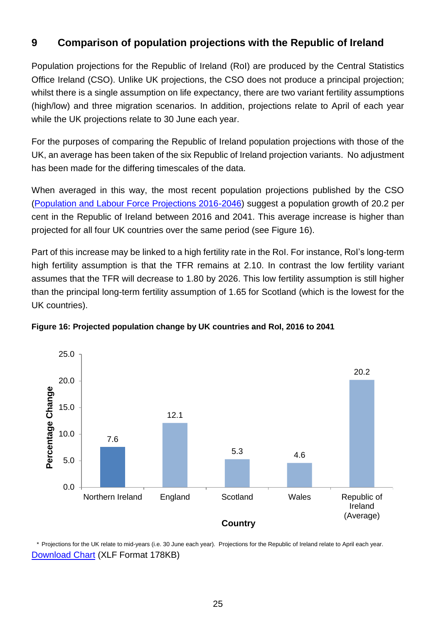# <span id="page-24-0"></span>**9 Comparison of population projections with the Republic of Ireland**

Population projections for the Republic of Ireland (RoI) are produced by the Central Statistics Office Ireland (CSO). Unlike UK projections, the CSO does not produce a principal projection; whilst there is a single assumption on life expectancy, there are two variant fertility assumptions (high/low) and three migration scenarios. In addition, projections relate to April of each year while the UK projections relate to 30 June each year.

For the purposes of comparing the Republic of Ireland population projections with those of the UK, an average has been taken of the six Republic of Ireland projection variants. No adjustment has been made for the differing timescales of the data.

When averaged in this way, the most recent population projections published by the CSO [\(Population and Labour Force Projections 2016-2046\)](http://www.cso.ie/en/statistics/population/populationandlabourforceprojections2016-2046/) suggest a population growth of 20.2 per cent in the Republic of Ireland between 2016 and 2041. This average increase is higher than projected for all four UK countries over the same period (see Figure 16).

Part of this increase may be linked to a high fertility rate in the RoI. For instance, RoI's long-term high fertility assumption is that the TFR remains at 2.10. In contrast the low fertility variant assumes that the TFR will decrease to 1.80 by 2026. This low fertility assumption is still higher than the principal long-term fertility assumption of 1.65 for Scotland (which is the lowest for the UK countries).



**Figure 16: Projected population change by UK countries and RoI, 2016 to 2041**

\* Projections for the UK relate to mid-years (i.e. 30 June each year). Projections for the Republic of Ireland relate to April each year. [Download Chart](https://www.nisra.gov.uk/publications/2016-based-population-projections-northern-ireland-statistical-bulletin-charts) (XLF Format 178KB)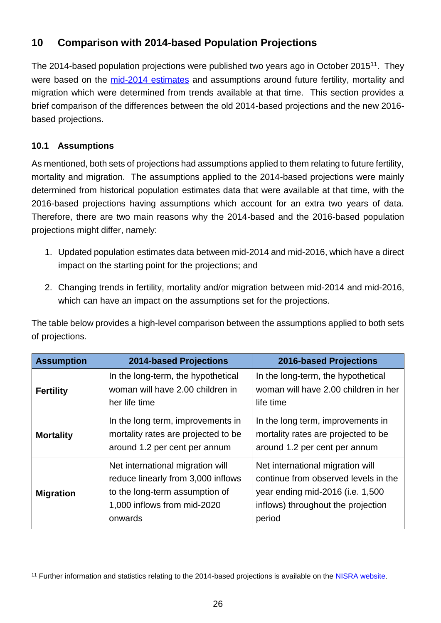# <span id="page-25-0"></span>**10 Comparison with 2014-based Population Projections**

The 2014-based population projections were published two years ago in October 2015<sup>11</sup>. They were based on the [mid-2014 estimates](https://www.nisra.gov.uk/publications/2014-mid-year-population-estimates-northern-ireland) and assumptions around future fertility, mortality and migration which were determined from trends available at that time. This section provides a brief comparison of the differences between the old 2014-based projections and the new 2016 based projections.

### **10.1 Assumptions**

l

As mentioned, both sets of projections had assumptions applied to them relating to future fertility, mortality and migration. The assumptions applied to the 2014-based projections were mainly determined from historical population estimates data that were available at that time, with the 2016-based projections having assumptions which account for an extra two years of data. Therefore, there are two main reasons why the 2014-based and the 2016-based population projections might differ, namely:

- 1. Updated population estimates data between mid-2014 and mid-2016, which have a direct impact on the starting point for the projections; and
- 2. Changing trends in fertility, mortality and/or migration between mid-2014 and mid-2016, which can have an impact on the assumptions set for the projections.

The table below provides a high-level comparison between the assumptions applied to both sets of projections.

| <b>Assumption</b> | <b>2014-based Projections</b>                                                                                                                      | <b>2016-based Projections</b>                                                                                                                                |
|-------------------|----------------------------------------------------------------------------------------------------------------------------------------------------|--------------------------------------------------------------------------------------------------------------------------------------------------------------|
| <b>Fertility</b>  | In the long-term, the hypothetical<br>woman will have 2.00 children in<br>her life time                                                            | In the long-term, the hypothetical<br>woman will have 2.00 children in her<br>life time                                                                      |
| <b>Mortality</b>  | In the long term, improvements in<br>mortality rates are projected to be<br>around 1.2 per cent per annum                                          | In the long term, improvements in<br>mortality rates are projected to be<br>around 1.2 per cent per annum                                                    |
| <b>Migration</b>  | Net international migration will<br>reduce linearly from 3,000 inflows<br>to the long-term assumption of<br>1,000 inflows from mid-2020<br>onwards | Net international migration will<br>continue from observed levels in the<br>year ending mid-2016 (i.e. 1,500<br>inflows) throughout the projection<br>period |

<sup>&</sup>lt;sup>11</sup> Further information and statistics relating to the 2014-based projections is available on the **NISRA** website.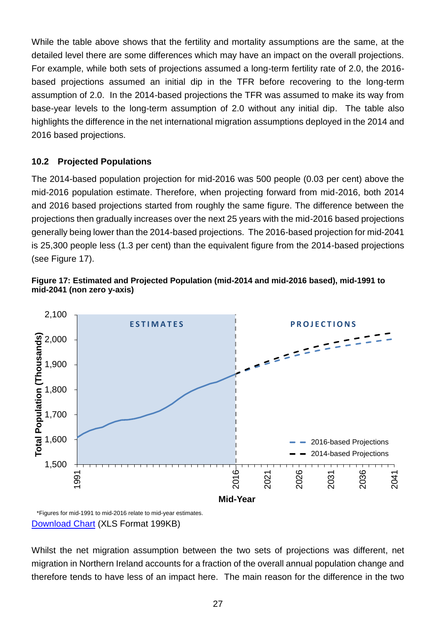While the table above shows that the fertility and mortality assumptions are the same, at the detailed level there are some differences which may have an impact on the overall projections. For example, while both sets of projections assumed a long-term fertility rate of 2.0, the 2016 based projections assumed an initial dip in the TFR before recovering to the long-term assumption of 2.0. In the 2014-based projections the TFR was assumed to make its way from base-year levels to the long-term assumption of 2.0 without any initial dip. The table also highlights the difference in the net international migration assumptions deployed in the 2014 and 2016 based projections.

#### **10.2 Projected Populations**

The 2014-based population projection for mid-2016 was 500 people (0.03 per cent) above the mid-2016 population estimate. Therefore, when projecting forward from mid-2016, both 2014 and 2016 based projections started from roughly the same figure. The difference between the projections then gradually increases over the next 25 years with the mid-2016 based projections generally being lower than the 2014-based projections. The 2016-based projection for mid-2041 is 25,300 people less (1.3 per cent) than the equivalent figure from the 2014-based projections (see Figure 17).





[Download Chart](https://www.nisra.gov.uk/publications/2016-based-population-projections-northern-ireland-statistical-bulletin-charts) (XLS Format 199KB)

Whilst the net migration assumption between the two sets of projections was different, net migration in Northern Ireland accounts for a fraction of the overall annual population change and therefore tends to have less of an impact here. The main reason for the difference in the two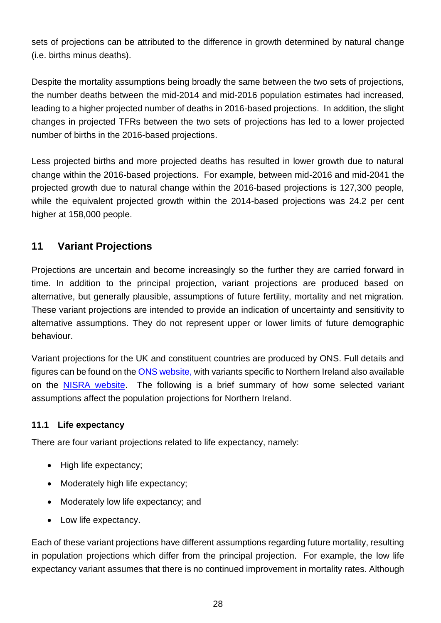sets of projections can be attributed to the difference in growth determined by natural change (i.e. births minus deaths).

Despite the mortality assumptions being broadly the same between the two sets of projections, the number deaths between the mid-2014 and mid-2016 population estimates had increased, leading to a higher projected number of deaths in 2016-based projections. In addition, the slight changes in projected TFRs between the two sets of projections has led to a lower projected number of births in the 2016-based projections.

Less projected births and more projected deaths has resulted in lower growth due to natural change within the 2016-based projections. For example, between mid-2016 and mid-2041 the projected growth due to natural change within the 2016-based projections is 127,300 people, while the equivalent projected growth within the 2014-based projections was 24.2 per cent higher at 158,000 people.

# <span id="page-27-0"></span>**11 Variant Projections**

Projections are uncertain and become increasingly so the further they are carried forward in time. In addition to the principal projection, variant projections are produced based on alternative, but generally plausible, assumptions of future fertility, mortality and net migration. These variant projections are intended to provide an indication of uncertainty and sensitivity to alternative assumptions. They do not represent upper or lower limits of future demographic behaviour.

Variant projections for the UK and constituent countries are produced by ONS. Full details and figures can be found on th[e ONS website,](https://www.ons.gov.uk/peoplepopulationandcommunity/populationandmigration/populationprojections) with variants specific to Northern Ireland also available on the [NISRA website.](https://www.nisra.gov.uk/publications/2016-based-population-projections-northern-ireland-variant-projections) The following is a brief summary of how some selected variant assumptions affect the population projections for Northern Ireland.

### **11.1 Life expectancy**

There are four variant projections related to life expectancy, namely:

- High life expectancy;
- Moderately high life expectancy;
- Moderately low life expectancy; and
- Low life expectancy.

Each of these variant projections have different assumptions regarding future mortality, resulting in population projections which differ from the principal projection. For example, the low life expectancy variant assumes that there is no continued improvement in mortality rates. Although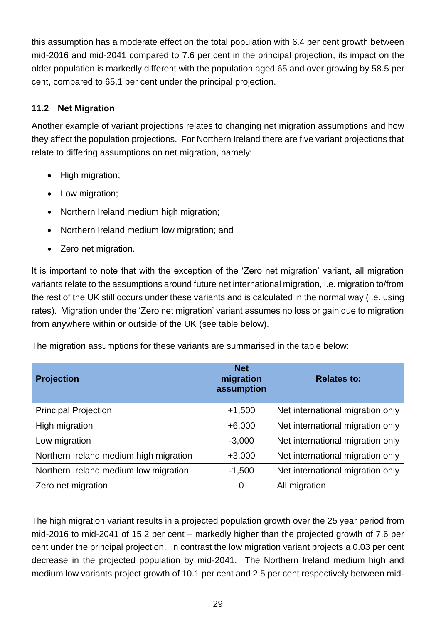this assumption has a moderate effect on the total population with 6.4 per cent growth between mid-2016 and mid-2041 compared to 7.6 per cent in the principal projection, its impact on the older population is markedly different with the population aged 65 and over growing by 58.5 per cent, compared to 65.1 per cent under the principal projection.

### **11.2 Net Migration**

Another example of variant projections relates to changing net migration assumptions and how they affect the population projections. For Northern Ireland there are five variant projections that relate to differing assumptions on net migration, namely:

- High migration;
- Low migration;
- Northern Ireland medium high migration;
- Northern Ireland medium low migration; and
- Zero net migration.

It is important to note that with the exception of the 'Zero net migration' variant, all migration variants relate to the assumptions around future net international migration, i.e. migration to/from the rest of the UK still occurs under these variants and is calculated in the normal way (i.e. using rates). Migration under the 'Zero net migration' variant assumes no loss or gain due to migration from anywhere within or outside of the UK (see table below).

|  |  | The migration assumptions for these variants are summarised in the table below: |
|--|--|---------------------------------------------------------------------------------|
|  |  |                                                                                 |

| <b>Projection</b>                      | <b>Net</b><br>migration<br>assumption | <b>Relates to:</b>               |
|----------------------------------------|---------------------------------------|----------------------------------|
| <b>Principal Projection</b>            | $+1,500$                              | Net international migration only |
| High migration                         | $+6,000$                              | Net international migration only |
| Low migration                          | $-3,000$                              | Net international migration only |
| Northern Ireland medium high migration | $+3,000$                              | Net international migration only |
| Northern Ireland medium low migration  | $-1,500$                              | Net international migration only |
| Zero net migration                     | 0                                     | All migration                    |

The high migration variant results in a projected population growth over the 25 year period from mid-2016 to mid-2041 of 15.2 per cent – markedly higher than the projected growth of 7.6 per cent under the principal projection. In contrast the low migration variant projects a 0.03 per cent decrease in the projected population by mid-2041. The Northern Ireland medium high and medium low variants project growth of 10.1 per cent and 2.5 per cent respectively between mid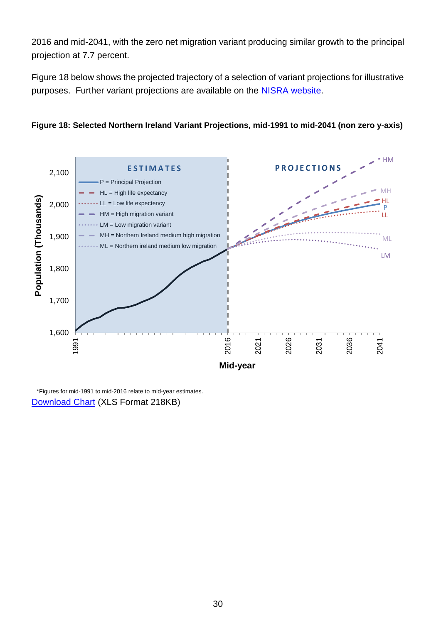2016 and mid-2041, with the zero net migration variant producing similar growth to the principal projection at 7.7 percent.

Figure 18 below shows the projected trajectory of a selection of variant projections for illustrative purposes. Further variant projections are available on the **NISRA website**.





\*Figures for mid-1991 to mid-2016 relate to mid-year estimates. [Download Chart](https://www.nisra.gov.uk/publications/2016-based-population-projections-northern-ireland-statistical-bulletin-charts) (XLS Format 218KB)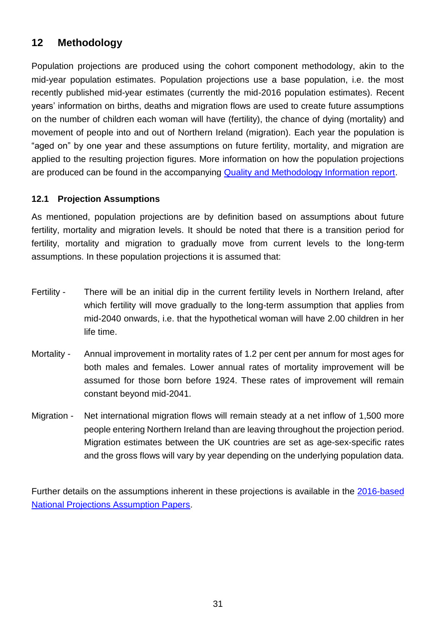# <span id="page-30-0"></span>**12 Methodology**

Population projections are produced using the cohort component methodology, akin to the mid-year population estimates. Population projections use a base population, i.e. the most recently published mid-year estimates (currently the mid-2016 population estimates). Recent years' information on births, deaths and migration flows are used to create future assumptions on the number of children each woman will have (fertility), the chance of dying (mortality) and movement of people into and out of Northern Ireland (migration). Each year the population is "aged on" by one year and these assumptions on future fertility, mortality, and migration are applied to the resulting projection figures. More information on how the population projections are produced can be found in the accompanying **Quality and Methodology Information report**.

#### **12.1 Projection Assumptions**

As mentioned, population projections are by definition based on assumptions about future fertility, mortality and migration levels. It should be noted that there is a transition period for fertility, mortality and migration to gradually move from current levels to the long-term assumptions. In these population projections it is assumed that:

- Fertility There will be an initial dip in the current fertility levels in Northern Ireland, after which fertility will move gradually to the long-term assumption that applies from mid-2040 onwards, i.e. that the hypothetical woman will have 2.00 children in her life time.
- Mortality Annual improvement in mortality rates of 1.2 per cent per annum for most ages for both males and females. Lower annual rates of mortality improvement will be assumed for those born before 1924. These rates of improvement will remain constant beyond mid-2041.
- Migration Net international migration flows will remain steady at a net inflow of 1,500 more people entering Northern Ireland than are leaving throughout the projection period. Migration estimates between the UK countries are set as age-sex-specific rates and the gross flows will vary by year depending on the underlying population data.

Further details on the assumptions inherent in these projections is available in the [2016-based](https://www.ons.gov.uk/peoplepopulationandcommunity/populationandmigration/populationprojections/methodologies/2016basednationalpopulationprojectionsconsultationpapers#2016-based-national-population-projections-consultation-papers)  [National Projections Assumption Papers.](https://www.ons.gov.uk/peoplepopulationandcommunity/populationandmigration/populationprojections/methodologies/2016basednationalpopulationprojectionsconsultationpapers#2016-based-national-population-projections-consultation-papers)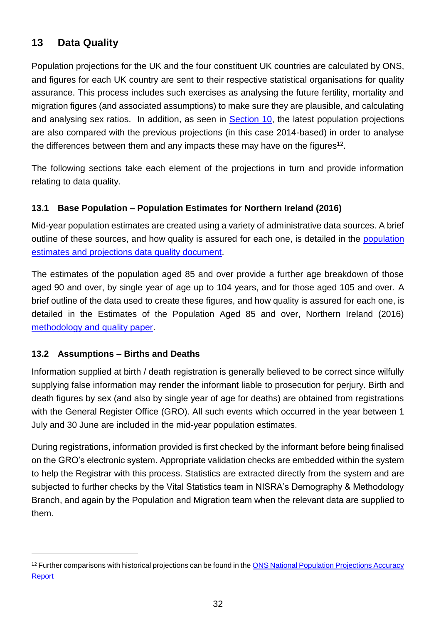# <span id="page-31-0"></span>**13 Data Quality**

Population projections for the UK and the four constituent UK countries are calculated by ONS, and figures for each UK country are sent to their respective statistical organisations for quality assurance. This process includes such exercises as analysing the future fertility, mortality and migration figures (and associated assumptions) to make sure they are plausible, and calculating and analysing sex ratios. In addition, as seen in **Section 10**, the latest population projections are also compared with the previous projections (in this case 2014-based) in order to analyse the differences between them and any impacts these may have on the figures<sup>12</sup>.

The following sections take each element of the projections in turn and provide information relating to data quality.

#### **13.1 Base Population – Population Estimates for Northern Ireland (2016)**

Mid-year population estimates are created using a variety of administrative data sources. A brief outline of these sources, and how quality is assured for each one, is detailed in the [population](https://www.nisra.gov.uk/publications/population-estimates-and-projections-data-quality-document)  [estimates and projections data quality document.](https://www.nisra.gov.uk/publications/population-estimates-and-projections-data-quality-document)

The estimates of the population aged 85 and over provide a further age breakdown of those aged 90 and over, by single year of age up to 104 years, and for those aged 105 and over. A brief outline of the data used to create these figures, and how quality is assured for each one, is detailed in the Estimates of the Population Aged 85 and over, Northern Ireland (2016) [methodology and quality paper.](https://www.nisra.gov.uk/publications/estimates-population-aged-85-and-over-northern-ireland-2016-and-2001-2015-revised)

#### **13.2 Assumptions – Births and Deaths**

l

Information supplied at birth / death registration is generally believed to be correct since wilfully supplying false information may render the informant liable to prosecution for perjury. Birth and death figures by sex (and also by single year of age for deaths) are obtained from registrations with the General Register Office (GRO). All such events which occurred in the year between 1 July and 30 June are included in the mid-year population estimates.

During registrations, information provided is first checked by the informant before being finalised on the GRO's electronic system. Appropriate validation checks are embedded within the system to help the Registrar with this process. Statistics are extracted directly from the system and are subjected to further checks by the Vital Statistics team in NISRA's Demography & Methodology Branch, and again by the Population and Migration team when the relevant data are supplied to them.

<sup>&</sup>lt;sup>12</sup> Further comparisons with historical projections can be found in the ONS National Population Projections Accuracy **[Report](http://www.ons.gov.uk/ons/guide-method/method-quality/specific/population-and-migration/population-projections/national-population-projections-accuracy-report.pdf)**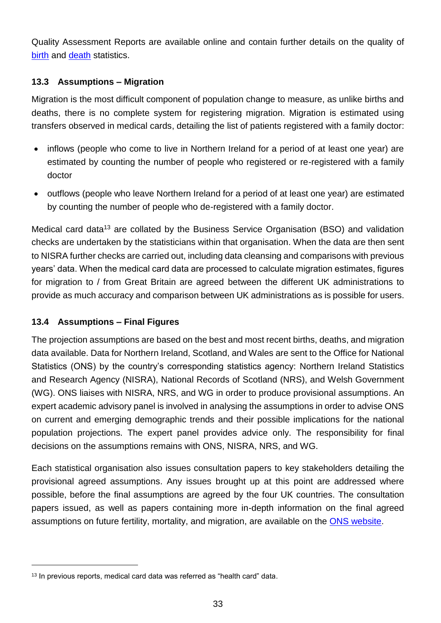Quality Assessment Reports are available online and contain further details on the quality of [birth](https://www.nisra.gov.uk/publications/northern-ireland-birth-statistics-quality-assessment) and [death](https://www.nisra.gov.uk/publications/northern-ireland-death-statistics-quality-assessment) statistics.

#### **13.3 Assumptions – Migration**

Migration is the most difficult component of population change to measure, as unlike births and deaths, there is no complete system for registering migration. Migration is estimated using transfers observed in medical cards, detailing the list of patients registered with a family doctor:

- inflows (people who come to live in Northern Ireland for a period of at least one year) are estimated by counting the number of people who registered or re-registered with a family doctor
- outflows (people who leave Northern Ireland for a period of at least one year) are estimated by counting the number of people who de-registered with a family doctor.

Medical card data<sup>13</sup> are collated by the Business Service Organisation (BSO) and validation checks are undertaken by the statisticians within that organisation. When the data are then sent to NISRA further checks are carried out, including data cleansing and comparisons with previous years' data. When the medical card data are processed to calculate migration estimates, figures for migration to / from Great Britain are agreed between the different UK administrations to provide as much accuracy and comparison between UK administrations as is possible for users.

### **13.4 Assumptions – Final Figures**

l

The projection assumptions are based on the best and most recent births, deaths, and migration data available. Data for Northern Ireland, Scotland, and Wales are sent to the Office for National Statistics (ONS) by the country's corresponding statistics agency: Northern Ireland Statistics and Research Agency (NISRA), National Records of Scotland (NRS), and Welsh Government (WG). ONS liaises with NISRA, NRS, and WG in order to produce provisional assumptions. An expert academic advisory panel is involved in analysing the assumptions in order to advise ONS on current and emerging demographic trends and their possible implications for the national population projections. The expert panel provides advice only. The responsibility for final decisions on the assumptions remains with ONS, NISRA, NRS, and WG.

Each statistical organisation also issues consultation papers to key stakeholders detailing the provisional agreed assumptions. Any issues brought up at this point are addressed where possible, before the final assumptions are agreed by the four UK countries. The consultation papers issued, as well as papers containing more in-depth information on the final agreed assumptions on future fertility, mortality, and migration, are available on the [ONS website.](https://www.ons.gov.uk/peoplepopulationandcommunity/populationandmigration/populationprojections/methodologies/2016basednationalpopulationprojectionsconsultationpapers#2016-based-national-population-projections-consultation-papers)

<sup>&</sup>lt;sup>13</sup> In previous reports, medical card data was referred as "health card" data.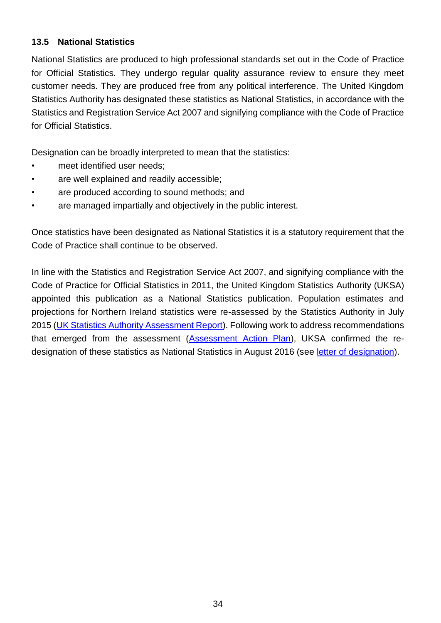#### **13.5 National Statistics**

National Statistics are produced to high professional standards set out in the Code of Practice for Official Statistics. They undergo regular quality assurance review to ensure they meet customer needs. They are produced free from any political interference. The United Kingdom Statistics Authority has designated these statistics as National Statistics, in accordance with the Statistics and Registration Service Act 2007 and signifying compliance with the Code of Practice for Official Statistics.

Designation can be broadly interpreted to mean that the statistics:

- meet identified user needs;
- are well explained and readily accessible;
- are produced according to sound methods; and
- are managed impartially and objectively in the public interest.

Once statistics have been designated as National Statistics it is a statutory requirement that the Code of Practice shall continue to be observed.

In line with the Statistics and Registration Service Act 2007, and signifying compliance with the Code of Practice for Official Statistics in 2011, the United Kingdom Statistics Authority (UKSA) appointed this publication as a National Statistics publication. Population estimates and projections for Northern Ireland statistics were re-assessed by the Statistics Authority in July 2015 [\(UK Statistics Authority Assessment Report\)](https://www.statisticsauthority.gov.uk/wp-content/uploads/2015/07/images-assessmentreport312populationestimatesandprojectionsfornorthernirelan_tcm97-44795-1.pdf). Following work to address recommendations that emerged from the assessment [\(Assessment Action Plan\)](https://www.nisra.gov.uk/publications/population-estimates-and-projections-northern-ireland-national-statistics-assessment), UKSA confirmed the redesignation of these statistics as National Statistics in August 2016 (see [letter of designation\)](https://www.nisra.gov.uk/publications/population-estimates-and-projections-northern-ireland-national-statistics-assessment).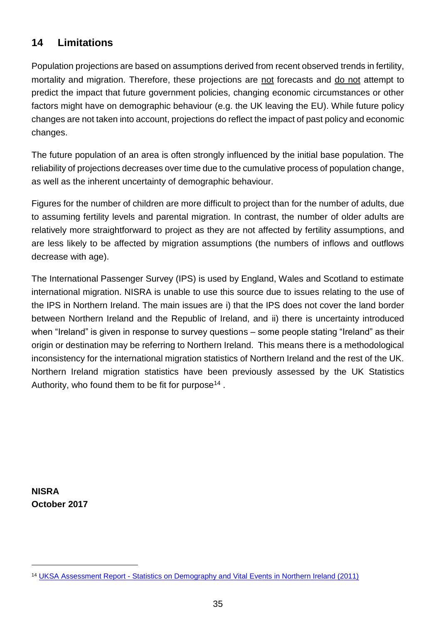# <span id="page-34-0"></span>**14 Limitations**

Population projections are based on assumptions derived from recent observed trends in fertility, mortality and migration. Therefore, these projections are not forecasts and do not attempt to predict the impact that future government policies, changing economic circumstances or other factors might have on demographic behaviour (e.g. the UK leaving the EU). While future policy changes are not taken into account, projections do reflect the impact of past policy and economic changes.

The future population of an area is often strongly influenced by the initial base population. The reliability of projections decreases over time due to the cumulative process of population change, as well as the inherent uncertainty of demographic behaviour.

Figures for the number of children are more difficult to project than for the number of adults, due to assuming fertility levels and parental migration. In contrast, the number of older adults are relatively more straightforward to project as they are not affected by fertility assumptions, and are less likely to be affected by migration assumptions (the numbers of inflows and outflows decrease with age).

The International Passenger Survey (IPS) is used by England, Wales and Scotland to estimate international migration. NISRA is unable to use this source due to issues relating to the use of the IPS in Northern Ireland. The main issues are i) that the IPS does not cover the land border between Northern Ireland and the Republic of Ireland, and ii) there is uncertainty introduced when "Ireland" is given in response to survey questions – some people stating "Ireland" as their origin or destination may be referring to Northern Ireland. This means there is a methodological inconsistency for the international migration statistics of Northern Ireland and the rest of the UK. Northern Ireland migration statistics have been previously assessed by the UK Statistics Authority, who found them to be fit for purpose<sup>14</sup>.

**NISRA October 2017**

l

<sup>14</sup> UKSA Assessment Report - [Statistics on Demography and Vital Events in Northern Ireland \(2011\)](http://www.nisra.gov.uk/archive/demography/UKSA_Assessment.pdf)